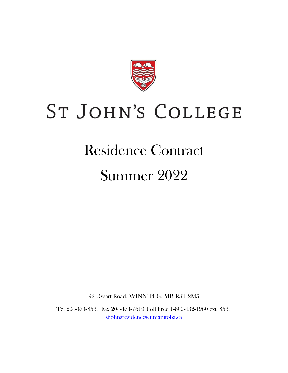

# ST JOHN'S COLLEGE

## Residence Contract

## Summer 2022

92 Dysart Road, WINNIPEG, MB R3T 2M5

Tel 204-474-8531 Fax 204-474-7610 Toll Free 1-800-432-1960 ext. 8531 [stjohnsresidence@umanitoba.ca](mailto:stjohnsresidence@umanitoba.ca)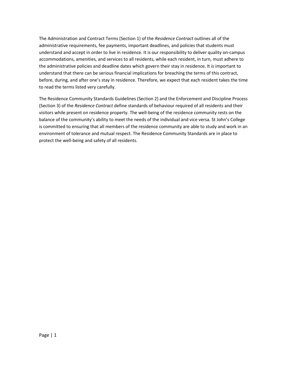The Administration and Contract Terms (Section 1) of the *Residence Contract* outlines all of the administrative requirements, fee payments, important deadlines, and policies that students must understand and accept in order to live in residence. It is our responsibility to deliver quality on‐campus accommodations, amenities, and services to all residents, while each resident, in turn, must adhere to the administrative policies and deadline dates which govern their stay in residence. It is important to understand that there can be serious financial implications for breaching the terms of this contract, before, during, and after one's stay in residence. Therefore, we expect that each resident takes the time to read the terms listed very carefully.

The Residence Community Standards Guidelines (Section 2) and the Enforcement and Discipline Process (Section 3) of the *Residence Contract* define standards of behaviour required of all residents and their visitors while present on residence property. The well‐being of the residence community rests on the balance of the community's ability to meet the needs of the individual and vice versa. St John's College is committed to ensuring that all members of the residence community are able to study and work in an environment of tolerance and mutual respect. The Residence Community Standards are in place to protect the well‐being and safety of all residents.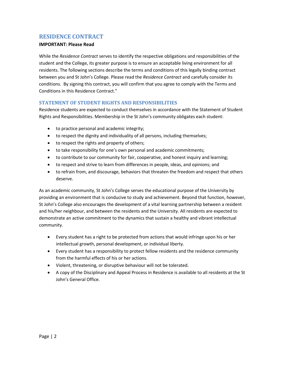## <span id="page-2-0"></span>**RESIDENCE CONTRACT**

#### **IMPORTANT: Please Read**

While the *Residence Contract* serves to identify the respective obligations and responsibilities of the student and the College, its greater purpose is to ensure an acceptable living environment for all residents. The following sections describe the terms and conditions of this legally binding contract between you and St John's College. Please read the *Residence Contract* and carefully consider its conditions. By signing this contract, you will confirm that you agree to comply with the Terms and Conditions in this Residence Contract."

#### <span id="page-2-1"></span>**STATEMENT OF STUDENT RIGHTS AND RESPONSIBILITIES**

Residence students are expected to conduct themselves in accordance with the Statement of Student Rights and Responsibilities. Membership in the St John's community obligates each student:

- to practice personal and academic integrity;
- to respect the dignity and individuality of all persons, including themselves;
- to respect the rights and property of others;
- to take responsibility for one's own personal and academic commitments;
- to contribute to our community for fair, cooperative, and honest inquiry and learning;
- to respect and strive to learn from differences in people, ideas, and opinions; and
- to refrain from, and discourage, behaviors that threaten the freedom and respect that others deserve.

As an academic community, St John's College serves the educational purpose of the University by providing an environment that is conducive to study and achievement. Beyond that function, however, St John's College also encourages the development of a vital learning partnership between a resident and his/her neighbour, and between the residents and the University. All residents are expected to demonstrate an active commitment to the dynamics that sustain a healthy and vibrant intellectual community.

- Every student has a right to be protected from actions that would infringe upon his or her intellectual growth, personal development, or individual liberty.
- Every student has a responsibility to protect fellow residents and the residence community from the harmful effects of his or her actions.
- Violent, threatening, or disruptive behaviour will not be tolerated.
- A copy of the Disciplinary and Appeal Process in Residence is available to all residents at the St John's General Office.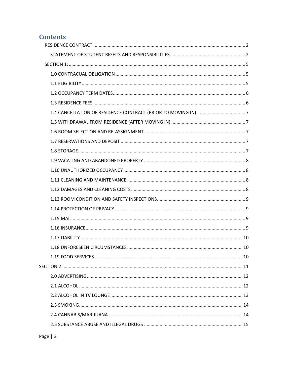## **Contents**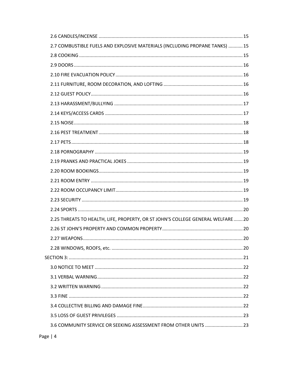| 2.7 COMBUSTIBLE FUELS AND EXPLOSIVE MATERIALS (INCLUDING PROPANE TANKS)  15     |  |
|---------------------------------------------------------------------------------|--|
|                                                                                 |  |
|                                                                                 |  |
|                                                                                 |  |
|                                                                                 |  |
|                                                                                 |  |
|                                                                                 |  |
|                                                                                 |  |
|                                                                                 |  |
|                                                                                 |  |
|                                                                                 |  |
|                                                                                 |  |
|                                                                                 |  |
|                                                                                 |  |
|                                                                                 |  |
|                                                                                 |  |
|                                                                                 |  |
|                                                                                 |  |
| 2.25 THREATS TO HEALTH, LIFE, PROPERTY, OR ST JOHN'S COLLEGE GENERAL WELFARE 20 |  |
|                                                                                 |  |
|                                                                                 |  |
|                                                                                 |  |
|                                                                                 |  |
|                                                                                 |  |
|                                                                                 |  |
|                                                                                 |  |
|                                                                                 |  |
|                                                                                 |  |
|                                                                                 |  |
| 3.6 COMMUNITY SERVICE OR SEEKING ASSESSMENT FROM OTHER UNITS  23                |  |
|                                                                                 |  |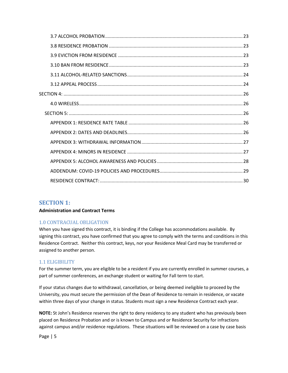## <span id="page-5-0"></span>**SECTION 1:**

#### **Administration and Contract Terms**

#### <span id="page-5-1"></span>1.0 CONTRACUAL OBLIGATION

When you have signed this contract, it is binding if the College has accommodations available. By signing this contract, you have confirmed that you agree to comply with the terms and conditions in this Residence Contract. Neither this contract, keys, nor your Residence Meal Card may be transferred or assigned to another person.

#### <span id="page-5-2"></span>1.1 ELIGIBILITY

For the summer term, you are eligible to be a resident if you are currently enrolled in summer courses, a part of summer conferences, an exchange student or waiting for Fall term to start.

If your status changes due to withdrawal, cancellation, or being deemed ineligible to proceed by the University, you must secure the permission of the Dean of Residence to remain in residence, or vacate within three days of your change in status. Students must sign a new Residence Contract each year.

**NOTE:** St John's Residence reserves the right to deny residency to any student who has previously been placed on Residence Probation and or is known to Campus and or Residence Security for infractions against campus and/or residence regulations. These situations will be reviewed on a case by case basis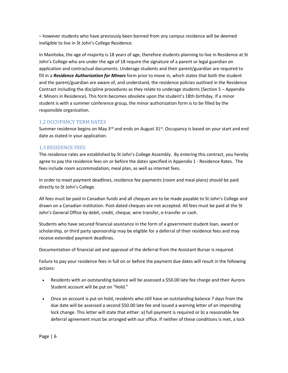– however students who have previously been banned from any campus residence will be deemed ineligible to live in St John's College Residence.

In Manitoba, the age of majority is 18 years of age, therefore students planning to live in Residence at St John's College who are under the age of 18 require the signature of a parent or legal guardian on application and contractual documents. Underage students and their parent/guardian are required to fill in a *Residence Authorization for Minors* form prior to move in, which states that both the student and the parent/guardian are aware of, and understand, the residence policies outlined in the Residence Contract including the discipline procedures as they relate to underage students (Section 5 – Appendix 4: Minors in Residence)**.** This form becomes obsolete upon the student's 18th birthday. If a minor student is with a summer conference group, the minor authorization form is to be filled by the responsible organization.

## <span id="page-6-0"></span>1.2 OCCUPANCY TERM DATES

Summer residence begins on May 3<sup>rd</sup> and ends on August 31<sup>st</sup>. Occupancy is based on your start and end date as stated in your application.

## <span id="page-6-1"></span>1.3 RESIDENCE FEES

The residence rates are established by St John's College Assembly. By entering this contract, you hereby agree to pay the residence fees on or before the dates specified in Appendix 1 - Residence Rates. The fees include room accommodation, meal plan, as well as internet fees.

In order to meet payment deadlines, residence fee payments (room and meal plans) should be paid directly to St John's College.

All fees must be paid in Canadian funds and all cheques are to be made payable to St John's College and drawn on a Canadian institution. Post‐dated cheques are not accepted. All fees must be paid at the St John's General Office by debit, credit, cheque, wire transfer, e-transfer or cash.

Students who have secured financial assistance in the form of a government student loan, award or scholarship, or third party sponsorship may be eligible for a deferral of their residence fees and may receive extended payment deadlines.

Documentation of financial aid and approval of the deferral from the Assistant Bursar is required.

Failure to pay your residence fees in full on or before the payment due dates will result in the following actions:

- Residents with an outstanding balance will be assessed a \$50.00 late fee charge and their Aurora Student account will be put on "Hold."
- Once an account is put on hold, residents who still have an outstanding balance 7 days from the due date will be assessed a second \$50.00 late fee and issued a warning letter of an impending lock change. This letter will state that either: a) full payment is required or b) a reasonable fee deferral agreement must be arranged with our office. If neither of these conditions is met, a lock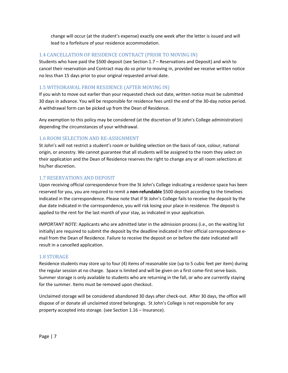change will occur (at the student's expense) exactly one week after the letter is issued and will lead to a forfeiture of your residence accommodation.

## <span id="page-7-0"></span>1.4 CANCELLATION OF RESIDENCE CONTRACT (PRIOR TO MOVING IN)

Students who have paid the \$500 deposit (see Section 1.7 – Reservations and Deposit) and wish to cancel their reservation and Contract may do so prior to moving in, provided we receive written notice no less than 15 days prior to your original requested arrival date.

## <span id="page-7-1"></span>1.5 WITHDRAWAL FROM RESIDENCE (AFTER MOVING IN)

If you wish to move out earlier than your requested check out date, written notice must be submitted 30 days in advance. You will be responsible for residence fees until the end of the 30-day notice period. A withdrawal form can be picked up from the Dean of Residence.

Any exemption to this policy may be considered (at the discretion of St John's College administration) depending the circumstances of your withdrawal.

#### <span id="page-7-2"></span>1.6 ROOM SELECTION AND RE-ASSIGNMENT

St John's will not restrict a student's room or building selection on the basis of race, colour, national origin, or ancestry. We cannot guarantee that all students will be assigned to the room they select on their application and the Dean of Residence reserves the right to change any or all room selections at his/her discretion.

#### <span id="page-7-3"></span>1.7 RESERVATIONS AND DEPOSIT

Upon receiving official correspondence from the St John's College indicating a residence space has been reserved for you, you are required to remit a **non-refundable** \$500 deposit according to the timelines indicated in the correspondence. Please note that if St John's College fails to receive the deposit by the due date indicated in the correspondence, you will risk losing your place in residence. The deposit is applied to the rent for the last month of your stay, as indicated in your application.

*IMPORTANT NOTE:* Applicants who are admitted later in the admission process (i.e., on the waiting list initially) are required to submit the deposit by the deadline indicated in their official correspondence e‐ mail from the Dean of Residence. Failure to receive the deposit on or before the date indicated will result in a cancelled application.

#### <span id="page-7-4"></span>1.8 STORAGE

Residence students may store up to four (4) items of reasonable size (up to 5 cubic feet per item) during the regular session at no charge. Space is limited and will be given on a first come-first serve basis. Summer storage is only available to students who are returning in the fall, or who are currently staying for the summer. Items must be removed upon checkout.

Unclaimed storage will be considered abandoned 30 days after check-out. After 30 days, the office will dispose of or donate all unclaimed stored belongings. St John's College is not responsible for any property accepted into storage. (see Section 1.16 – Insurance).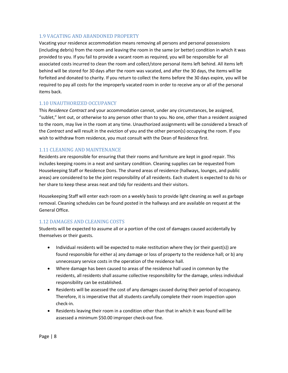## <span id="page-8-0"></span>1.9 VACATING AND ABANDONED PROPERTY

Vacating your residence accommodation means removing all persons and personal possessions (including debris) from the room and leaving the room in the same (or better) condition in which it was provided to you. If you fail to provide a vacant room as required, you will be responsible for all associated costs incurred to clean the room and collect/store personal items left behind. All items left behind will be stored for 30 days after the room was vacated, and after the 30 days, the items will be forfeited and donated to charity. If you return to collect the items before the 30 days expire, you will be required to pay all costs for the improperly vacated room in order to receive any or all of the personal items back.

#### <span id="page-8-1"></span>1.10 UNAUTHORIZED OCCUPANCY

This *Residence Contract* and your accommodation cannot, under any circumstances, be assigned, "sublet," lent out, or otherwise to any person other than to you. No one, other than a resident assigned to the room, may live in the room at any time. Unauthorized assignments will be considered a breach of the *Contract* and will result in the eviction of you and the other person(s) occupying the room. If you wish to withdraw from residence, you must consult with the Dean of Residence first.

#### <span id="page-8-2"></span>1.11 CLEANING AND MAINTENANCE

Residents are responsible for ensuring that their rooms and furniture are kept in good repair. This includes keeping rooms in a neat and sanitary condition. Cleaning supplies can be requested from Housekeeping Staff or Residence Dons. The shared areas of residence (hallways, lounges, and public areas) are considered to be the joint responsibility of all residents. Each student is expected to do his or her share to keep these areas neat and tidy for residents and their visitors.

Housekeeping Staff will enter each room on a weekly basis to provide light cleaning as well as garbage removal. Cleaning schedules can be found posted in the hallways and are available on request at the General Office.

#### <span id="page-8-3"></span>1.12 DAMAGES AND CLEANING COSTS

Students will be expected to assume all or a portion of the cost of damages caused accidentally by themselves or their guests.

- Individual residents will be expected to make restitution where they (or their guest(s)) are found responsible for either a) any damage or loss of property to the residence hall; or b) any unnecessary service costs in the operation of the residence hall.
- Where damage has been caused to areas of the residence hall used in common by the residents, all residents shall assume collective responsibility for the damage, unless individual responsibility can be established.
- Residents will be assessed the cost of any damages caused during their period of occupancy. Therefore, it is imperative that all students carefully complete their room inspection upon check‐in.
- Residents leaving their room in a condition other than that in which it was found will be assessed a minimum \$50.00 improper check-out fine.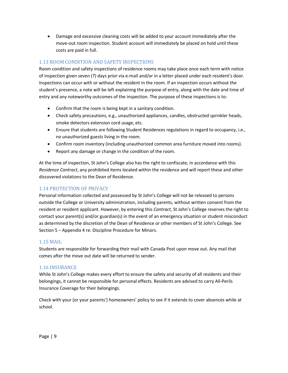• Damage and excessive cleaning costs will be added to your account immediately after the move‐out room inspection. Student account will immediately be placed on hold until these costs are paid in full.

## <span id="page-9-0"></span>1.13 ROOM CONDITION AND SAFETY INSPECTIONS

Room condition and safety inspections of residence rooms may take place once each term with notice of inspection given seven (7) days prior via e‐mail and/or in a letter placed under each resident's door. Inspections can occur with or without the resident in the room. If an inspection occurs without the student's presence, a note will be left explaining the purpose of entry, along with the date and time of entry and any noteworthy outcomes of the inspection. The purpose of these inspections is to:

- Confirm that the room is being kept in a sanitary condition.
- Check safety precautions, e.g., unauthorized appliances, candles, obstructed sprinkler heads, smoke detectors extension cord usage, etc.
- Ensure that students are following Student Residences regulations in regard to occupancy, i.e., no unauthorized guests living in the room.
- Confirm room inventory (including unauthorized common area furniture moved into rooms).
- Report any damage or change in the condition of the room.

At the time of inspection, St John's College also has the right to confiscate, in accordance with this *Residence Contract*, any prohibited items located within the residence and will report these and other discovered violations to the Dean of Residence.

## <span id="page-9-1"></span>1.14 PROTECTION OF PRIVACY

Personal information collected and possessed by St John's College will not be released to persons outside the College or University administration, including parents, without written consent from the resident or resident applicant. However, by entering this *Contract*, St John's College reserves the right to contact your parent(s) and/or guardian(s) in the event of an emergency situation or student misconduct as determined by the discretion of the Dean of Residence or other members of St John's College. See Section 5 – Appendix 4 re: Discipline Procedure for Minors.

#### <span id="page-9-2"></span>1.15 MAIL

Students are responsible for forwarding their mail with Canada Post upon move out. Any mail that comes after the move out date will be returned to sender.

#### <span id="page-9-3"></span>1.16 INSURANCE

While St John's College makes every effort to ensure the safety and security of all residents and their belongings, it cannot be responsible for personal effects. Residents are advised to carry All‐Perils Insurance Coverage for their belongings.

Check with your (or your parents') homeowners' policy to see if it extends to cover absences while at school.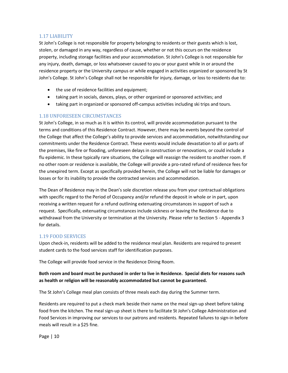## <span id="page-10-0"></span>1.17 LIABILITY

St John's College is not responsible for property belonging to residents or their guests which is lost, stolen, or damaged in any way, regardless of cause, whether or not this occurs on the residence property, including storage facilities and your accommodation. St John's College is not responsible for any injury, death, damage, or loss whatsoever caused to you or your guest while in or around the residence property or the University campus or while engaged in activities organized or sponsored by St John's College. St John's College shall not be responsible for injury, damage, or loss to residents due to:

- the use of residence facilities and equipment;
- taking part in socials, dances, plays, or other organized or sponsored activities; and
- taking part in organized or sponsored off-campus activities including ski trips and tours.

#### <span id="page-10-1"></span>1.18 UNFORESEEN CIRCUMSTANCES

St John's College, in so much as it is within its control, will provide accommodation pursuant to the terms and conditions of this Residence Contract. However, there may be events beyond the control of the College that affect the College's ability to provide services and accommodation, notwithstanding our commitments under the Residence Contract. These events would include devastation to all or parts of the premises, like fire or flooding, unforeseen delays in construction or renovations, or could include a flu epidemic. In these typically rare situations, the College will reassign the resident to another room. If no other room or residence is available, the College will provide a pro‐rated refund of residence fees for the unexpired term. Except as specifically provided herein, the College will not be liable for damages or losses or for its inability to provide the contracted services and accommodation.

The Dean of Residence may in the Dean's sole discretion release you from your contractual obligations with specific regard to the Period of Occupancy and/or refund the deposit in whole or in part, upon receiving a written request for a refund outlining extenuating circumstances in support of such a request. Specifically, extenuating circumstances include sickness or leaving the Residence due to withdrawal from the University or termination at the University. Please refer to Section 5 - Appendix 3 for details.

#### <span id="page-10-2"></span>1.19 FOOD SERVICES

Upon check-in, residents will be added to the residence meal plan. Residents are required to present student cards to the food services staff for identification purposes.

The College will provide food service in the Residence Dining Room.

## **Both room and board must be purchased in order to live in Residence. Special diets for reasons such as health or religion will be reasonably accommodated but cannot be guaranteed.**

The St John's College meal plan consists of three meals each day during the Summer term.

Residents are required to put a check mark beside their name on the meal sign-up sheet before taking food from the kitchen. The meal sign-up sheet is there to facilitate St John's College Administration and Food Services in improving our services to our patrons and residents. Repeated failures to sign-in before meals will result in a \$25 fine.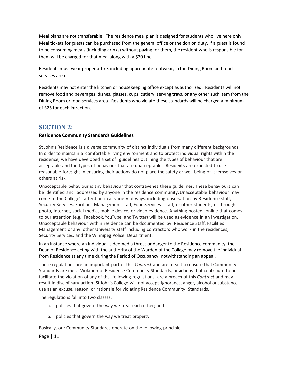Meal plans are not transferable. The residence meal plan is designed for students who live here only. Meal tickets for guests can be purchased from the general office or the don on duty. If a guest is found to be consuming meals (including drinks) without paying for them, the resident who is responsible for them will be charged for that meal along with a \$20 fine.

Residents must wear proper attire, including appropriate footwear, in the Dining Room and food services area.

Residents may not enter the kitchen or housekeeping office except as authorized. Residents will not remove food and beverages, dishes, glasses, cups, cutlery, serving trays, or any other such item from the Dining Room or food services area. Residents who violate these standards will be charged a minimum of \$25 for each infraction.

## <span id="page-11-0"></span>**SECTION 2:**

#### **Residence Community Standards Guidelines**

St John's Residence is a diverse community of distinct individuals from many different backgrounds. In order to maintain a comfortable living environment and to protect individual rights within the residence, we have developed a set of guidelines outlining the types of behaviour that are acceptable and the types of behaviour that are unacceptable. Residents are expected to use reasonable foresight in ensuring their actions do not place the safety or well‐being of themselves or others at risk.

Unacceptable behaviour is any behaviour that contravenes these guidelines. These behaviours can be identified and addressed by anyone in the residence community. Unacceptable behaviour may come to the College's attention in a variety of ways, including observation by Residence staff, Security Services, Facilities Management staff, Food Services staff, or other students, or through photo, Internet, social media, mobile device, or video evidence. Anything posted online that comes to our attention (e.g., Facebook, YouTube, and Twitter) will be used as evidence in an investigation. Unacceptable behaviour within residence can be documented by: Residence Staff, Facilities Management or any other University staff including contractors who work in the residences, Security Services, and the Winnipeg Police Department.

In an instance where an individual is deemed a threat or danger to the Residence community, the Dean of Residence acting with the authority of the Warden of the College may remove the individual from Residence at any time during the Period of Occupancy, notwithstanding an appeal.

These regulations are an important part of this *Contract* and are meant to ensure that Community Standards are met. Violation of Residence Community Standards, or actions that contribute to or facilitate the violation of any of the following regulations, are a breach of this *Contract* and may result in disciplinary action. St John's College will not accept ignorance, anger, alcohol or substance use as an excuse, reason, or rationale for violating Residence Community Standards.

The regulations fall into two classes:

- a. policies that govern the way we treat each other; and
- b. policies that govern the way we treat property.

Basically, our Community Standards operate on the following principle: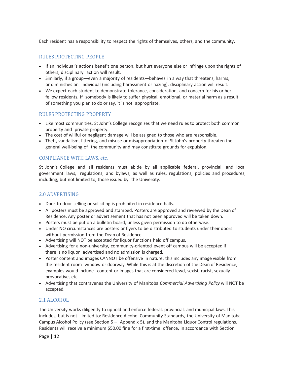Each resident has a responsibility to respect the rights of themselves, others, and the community.

#### RULES PROTECTING PEOPLE

- If an individual's actions benefit one person, but hurt everyone else or infringe upon the rights of others, disciplinary action will result.
- Similarly, if a group—even a majority of residents—behaves in a way that threatens, harms, or diminishes an individual (including harassment or hazing), disciplinary action will result.
- We expect each student to demonstrate tolerance, consideration, and concern for his or her fellow residents. If somebody is likely to suffer physical, emotional, or material harm as a result of something you plan to do or say, it is not appropriate.

#### RULES PROTECTING PROPERTY

- Like most communities, St John's College recognizes that we need rules to protect both common property and private property.
- The cost of willful or negligent damage will be assigned to those who are responsible.
- Theft, vandalism, littering, and misuse or misappropriation of St John's property threaten the general well‐being of the community and may constitute grounds for expulsion.

#### COMPLIANCE WITH LAWS, etc.

St John's College and all residents must abide by all applicable federal, provincial, and local government laws, regulations, and bylaws, as well as rules, regulations, policies and procedures, including, but not limited to, those issued by the University.

## <span id="page-12-0"></span>2.0 ADVERTISING

- Door-to-door selling or soliciting is prohibited in residence halls.
- All posters must be approved and stamped. Posters are approved and reviewed by the Dean of Residence. Any poster or advertisement that has not been approved will be taken down.
- Posters must be put on a bulletin board, unless given permission to do otherwise.
- Under NO circumstances are posters or flyers to be distributed to students under their doors without permission from the Dean of Residence.
- Advertising will NOT be accepted for liquor functions held off campus.
- Advertising for a non-university, community-oriented event off campus will be accepted if there is no liquor advertised and no admission is charged.
- Poster content and images CANNOT be offensive in nature; this includes any image visible from the resident room window or doorway. While this is at the discretion of the Dean of Residence, examples would include content or images that are considered lewd, sexist, racist, sexually provocative, etc.
- Advertising that contravenes the University of Manitoba *Commercial Advertising Policy* will NOT be accepted.

#### <span id="page-12-1"></span>2.1 ALCOHOL

The University works diligently to uphold and enforce federal, provincial, and municipal laws. This includes, but is not limited to: Residence Alcohol Community Standards, the University of Manitoba Campus Alcohol Policy (see Section 5 – Appendix 5), and the Manitoba Liquor Control regulations. Residents will receive a minimum \$50.00 fine for a first-time offence, in accordance with Section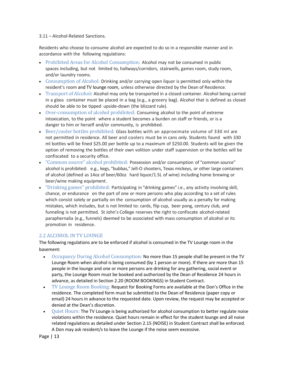#### 3.11 – Alcohol‐Related Sanctions.

Residents who choose to consume alcohol are expected to do so in a responsible manner and in accordance with the following regulations:

- Prohibited Areas for Alcohol Consumption: Alcohol may not be consumed in public spaces including, but not limited to, hallways/corridors, stairwells, games room, study room, and/or laundry rooms.
- Consumption of Alcohol: Drinking and/or carrying open liquor is permitted only within the resident's room and TV lounge room, unless otherwise directed by the Dean of Residence.
- Transport of Alcohol*:* Alcohol may only be transported in a closed container. Alcohol being carried in a glass container must be placed in a bag (e.g., a grocery bag). Alcohol that is defined as closed should be able to be tipped upside‐down (the blizzard rule).
- Over-consumption of alcohol prohibited: Consuming alcohol to the point of extreme intoxication, to the point where a student becomes a burden on staff or friends, or is a danger to him or herself and/or community, is prohibited.
- Beer/cooler bottles prohibited: Glass bottles with an approximate volume of 330 ml are not permitted in residence. All beer and coolers must be in cans only. Students found with 330 ml bottles will be fined \$25.00 per bottle up to a maximum of \$250.00. Students will be given the option of removing the bottles of their own volition under staff supervision or the bottles will be confiscated to a security office.
- "Common source" alcohol prohibited: Possession and/or consumption of "common source" alcohol is prohibited: e.g., kegs, "bubbas," Jell-O shooters, Texas mickeys, or other large containers of alcohol (defined as 14oz of beer/60oz hard liquor/1.5L of wine) including home brewing or beer/wine making equipment.
- "Drinking games" prohibited: Participating in "drinking games" i.e., any activity involving skill, chance, or endurance on the part of one or more persons who play according to a set of rules which consist solely or partially on the consumption of alcohol usually as a penalty for making mistakes, which includes, but is not limited to: cards, flip cup, beer pong, century club, and funneling is not permitted. St John's College reserves the right to confiscate alcohol‐related paraphernalia (e.g., funnels) deemed to be associated with mass consumption of alcohol or its promotion in residence.

## <span id="page-13-0"></span>2.2 ALCOHOL IN TV LOUNGE

The following regulations are to be enforced if alcohol is consumed in the TV Lounge room in the basement:

- Occupancy During Alcohol Consumption: No more than 15 people shall be present in the TV Lounge Room when alcohol is being consumed (by 1 person or more). If there are more than 15 people in the lounge and one or more persons are drinking for any gathering, social event or party, the Lounge Room must be booked and authorized by the Dean of Residence 24 hours in advance, as detailed in Section 2.20 (ROOM BOOKINGS) in Student Contract.
- TV Lounge Room Booking: Request for Booking Forms are available at the Don's Office in the residence. The completed form must be submitted to the Dean of Residence (paper copy or email) 24 hours in advance to the requested date. Upon review, the request may be accepted or denied at the Dean's discretion.
- Quiet Hours: The TV Lounge is being authorized for alcohol consumption to better regulate noise violations within the residence. Quiet hours remain in effect for the student lounge and all noise related regulations as detailed under Section 2.15 (NOISE) in Student Contract shall be enforced. A Don may ask resident/s to leave the Lounge if the noise seem excessive.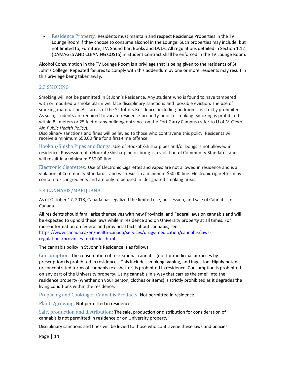• Residence Property: Residents must maintain and respect Residence Properties in the TV Lounge Room if they choose to consume alcohol in the Lounge. Such properties may include, but not limited to, Furniture, TV, Sound bar, Books and DVDs. All regulations detailed in Section 1.12 (DAMAGES AND CLEANING COSTS) in Student Contract shall be enforced in the TV Lounge Room.

Alcohol Consumption in the TV Lounge Room is a privilege that is being given to the residents of St John's College. Repeated failures to comply with this addendum by one or more residents may result in this privilege being taken away.

#### <span id="page-14-0"></span>2.3 SMOKING

Smoking will not be permitted in St John's Residence. Any student who is found to have tampered with or modified a smoke alarm will face disciplinary sanctions and possible eviction. The use of smoking materials in ALL areas of the St John's Residence, including bedrooms, is strictly prohibited. As such, students are required to vacate residence property prior to smoking. Smoking is prohibited within 8 meters or 25 feet of any building entrance on the Fort Garry Campus (refer to U of M *Clean Air, Public Health Policy*).

Disciplinary sanctions and fines will be levied to those who contravene this policy. Residents will receive a minimum \$50.00 fine for a first-time offence.

Hookah/Shisha Pipes and Bongs: Use of Hookah/Shisha pipes and/or bongs is not allowed in residence. Possession of a Hookah/Shisha pipe or bong is a violation of Community Standards and will result in a minimum \$50.00 fine.

Electronic Cigarettes: Use of Electronic Cigarettes and vapes are not allowed in residence and is a violation of Community Standards and will result in a minimum \$50.00 fine. Electronic cigarettes may contain toxic ingredients and are only to be used in designated smoking areas.

## <span id="page-14-1"></span>2.4 CANNABIS/MARIJUANA

As of October 17, 2018, Canada has legalized the limited use, possession, and sale of Cannabis in Canada.

All residents should familiarize themselves with new Provincial and Federal laws on cannabis and will be expected to uphold these laws while in residence and on University property at all times. For more information on federal and provincial facts about cannabis, see: [https://www.canada.ca/en/health-canada/services/drugs-medication/cannabis/laws](https://www.canada.ca/en/health-canada/services/drugs-medication/cannabis/laws-regulations/provinces-territories.html)[regulations/provinces-territories.html](https://www.canada.ca/en/health-canada/services/drugs-medication/cannabis/laws-regulations/provinces-territories.html)

The cannabis policy in St John's Residence is as follows:

Consumption: The consumption of recreational cannabis (not for medicinal purposes by prescription) is prohibited in residences. This includes smoking, vaping, and ingestion. Highly potent or concentrated forms of cannabis (ex. shatter) is prohibited in residence. Consumption is prohibited on any part of the University property. Using cannabis in a way that carries the smell into the residence property (whether on your person, clothes or items) is strictly prohibited as it degrades the living conditions within the residence.

Preparing and Cooking of Cannabis Products: Not permitted in residence.

Plants/growing: Not permitted in residence.

Sale, production and distribution: The sale, production or distribution for consideration of cannabis is not permitted in residence or on University property.

Disciplinary sanctions and fines will be levied to those who contravene these laws and policies.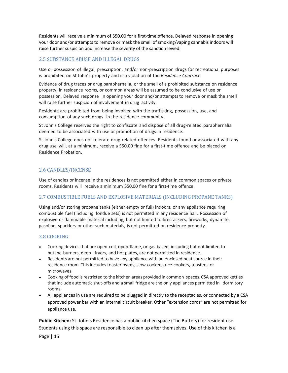Residents will receive a minimum of \$50.00 for a first-time offence. Delayed response in opening your door and/or attempts to remove or mask the smell of smoking/vaping cannabis indoors will raise further suspicion and increase the severity of the sanction levied.

## <span id="page-15-0"></span>2.5 SUBSTANCE ABUSE AND ILLEGAL DRUGS

Use or possession of illegal, prescription, and/or non‐prescription drugs for recreational purposes is prohibited on St John's property and is a violation of the *Residence Contract*.

Evidence of drug traces or drug paraphernalia, or the smell of a prohibited substance on residence property, in residence rooms, or common areas will be assumed to be conclusive of use or possession. Delayed response in opening your door and/or attempts to remove or mask the smell will raise further suspicion of involvement in drug activity.

Residents are prohibited from being involved with the trafficking, possession, use, and consumption of any such drugs in the residence community.

St John's College reserves the right to confiscate and dispose of all drug-related paraphernalia deemed to be associated with use or promotion of drugs in residence.

St John's College does not tolerate drug-related offences. Residents found or associated with any drug use will, at a minimum, receive a \$50.00 fine for a first-time offence and be placed on Residence Probation.

## <span id="page-15-1"></span>2.6 CANDLES/INCENSE

Use of candles or incense in the residences is not permitted either in common spaces or private rooms. Residents will receive a minimum \$50.00 fine for a first-time offence.

#### <span id="page-15-2"></span>2.7 COMBUSTIBLE FUELS AND EXPLOSIVE MATERIALS (INCLUDING PROPANE TANKS)

Using and/or storing propane tanks (either empty or full) indoors, or any appliance requiring combustible fuel (including fondue sets) is not permitted in any residence hall. Possession of explosive or flammable material including, but not limited to firecrackers, fireworks, dynamite, gasoline, sparklers or other such materials, is not permitted on residence property.

## <span id="page-15-3"></span>2.8 COOKING

- Cooking devices that are open-coil, open-flame, or gas-based, including but not limited to butane‐burners, deep fryers, and hot plates, are not permitted in residence.
- Residents are not permitted to have any appliance with an enclosed heat source in their residence room. This includes toaster ovens, slow‐cookers, rice‐cookers, toasters, or microwaves.
- Cooking of food is restricted to the kitchen areas provided in common spaces. CSA approved kettles that include automatic shut‐offs and a small fridge are the only appliances permitted in dormitory rooms.
- All appliances in use are required to be plugged in directly to the receptacles, or connected by a CSA approved power bar with an internal circuit breaker. Other "extension cords" are not permitted for appliance use.

**Public Kitchen:** St. John's Residence has a public kitchen space (The Buttery) for resident use. Students using this space are responsible to clean up after themselves. Use of this kitchen is a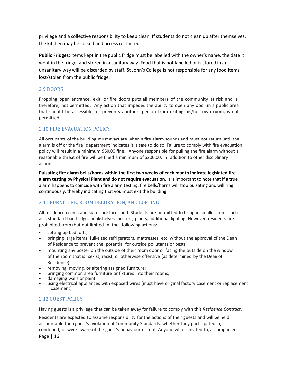privilege and a collective responsibility to keep clean. If students do not clean up after themselves, the kitchen may be locked and access restricted.

**Public Fridges:** Items kept in the public fridge must be labelled with the owner's name, the date it went in the fridge, and stored in a sanitary way. Food that is not labelled or is stored in an unsanitary way will be discarded by staff. St John's College is not responsible for any food items lost/stolen from the public fridge.

## <span id="page-16-0"></span>2.9 DOORS

Propping open entrance, exit, or fire doors puts all members of the community at risk and is, therefore, not permitted. Any action that impedes the ability to open any door in a public area that should be accessible, or prevents another person from exiting his/her own room, is not permitted.

#### <span id="page-16-1"></span>2.10 FIRE EVACUATION POLICY

All occupants of the building must evacuate when a fire alarm sounds and must not return until the alarm is off or the fire department indicates it is safe to do so. Failure to comply with fire evacuation policy will result in a minimum \$50.00 fine. Anyone responsible for pulling the fire alarm without a reasonable threat of fire will be fined a minimum of \$200.00, in addition to other disciplinary actions.

**Pulsating fire alarm bells/horns within the first two weeks of each month indicate legislated fire alarm testing by Physical Plant and do not require evacuation.** It is important to note that if a true alarm happens to coincide with fire alarm testing, fire bells/horns will stop pulsating and will ring continuously, thereby indicating that you must exit the building.

## <span id="page-16-2"></span>2.11 FURNITURE, ROOM DECORATION, AND LOFTING

All residence rooms and suites are furnished. Students are permitted to bring in smaller items such as a standard bar fridge, bookshelves, posters, plants, additional lighting. However, residents are prohibited from (but not limited to) the following actions:

- setting up bed lofts;
- bringing large items: full‐sized refrigerators, mattresses, etc. without the approval of the Dean of Residence to prevent the potential for outside pollutants or pests;
- mounting any poster on the outside of their room door or facing the outside on the window of the room that is sexist, racist, or otherwise offensive (as determined by the Dean of Residence);
- removing, moving, or altering assigned furniture;
- bringing common area furniture or fixtures into their rooms;
- damaging walls or paint;
- using electrical appliances with exposed wires (must have original factory casement or replacement casement).

#### <span id="page-16-3"></span>2.12 GUEST POLICY

Having guests is a privilege that can be taken away for failure to comply with this *Residence Contract*.

Residents are expected to assume responsibility for the actions of their guests and will be held accountable for a guest's violation of Community Standards, whether they participated in, condoned, or were aware of the guest's behaviour or not. Anyone who is invited to, accompanied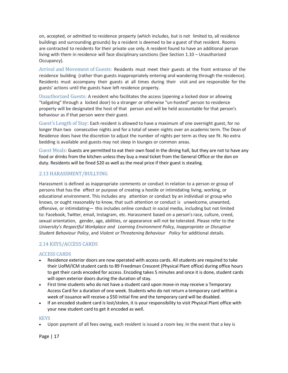on, accepted, or admitted to residence property (which includes, but is not limited to, all residence buildings and surrounding grounds) by a resident is deemed to be a guest of that resident. Rooms are contracted to residents for their private use only. A resident found to have an additional person living with them in residence will face disciplinary sanctions (See Section 1.10 – Unauthorized Occupancy).

Arrival and Movement of Guests: Residents must meet their guests at the front entrance of the residence building (rather than guests inappropriately entering and wandering through the residence). Residents must accompany their guests at all times during their visit and are responsible for the guests' actions until the guests have left residence property.

Unauthorized Guests: A resident who facilitates the access (opening a locked door or allowing "tailgating" through a locked door) to a stranger or otherwise "un‐hosted" person to residence property will be designated the host of that person and will be held accountable for that person's behaviour as if that person were their guest.

Guest's Length of Stay: Each resident is allowed to have a maximum of one overnight guest, for no longer than two consecutive nights and for a total of seven nights over an academic term. The Dean of Residence does have the discretion to adjust the number of nights per term as they see fit. No extra bedding is available and guests may not sleep in lounges or common areas.

Guest Meals: Guests are permitted to eat their own food in the dining hall, but they are not to have any food or drinks from the kitchen unless they buy a meal ticket from the General Office or the don on duty. Residents will be fined \$20 as well as the meal price if their guest is stealing.

#### <span id="page-17-0"></span>2.13 HARASSMENT/BULLYING

Harassment is defined as inappropriate comments or conduct in relation to a person or group of persons that has the effect or purpose of creating a hostile or intimidating living, working, or educational environment. This includes any attention or conduct by an individual or group who knows, or ought reasonably to know, that such attention or conduct is unwelcome, unwanted, offensive, or intimidating— this includes online conduct in social media, including but not limited to: Facebook, Twitter, email, Instagram, etc. Harassment based on a person's race, culture, creed, sexual orientation, gender, age, abilities, or appearance will not be tolerated. Please refer to the *University's Respectful Workplace and Learning Environment Policy*, *Inappropriate or Disruptive Student Behaviour Policy*, and *Violent or Threatening Behaviour Policy* for additional details.

## <span id="page-17-1"></span>2.14 KEYS/ACCESS CARDS

#### ACCESS CARDS

- Residence exterior doors are now operated with access cards. All students are required to take their UofM/ICM student cards to 89 Freedman Crescent (Physical Plant office) during office hours to get their cards encoded for access. Encoding takes 5 minutes and once it is done, student cards will open exterior doors during the duration of stay.
- First time students who do not have a student card upon move-in may receive a Temporary Access Card for a duration of one week. Students who do not return a temporary card within a week of issuance will receive a \$50 initial fine and the temporary card will be disabled.
- If an encoded student card is lost/stolen, it is your responsibility to visit Physical Plant office with your new student card to get it encoded as well.

#### **KEYS**

• Upon payment of all fees owing, each resident is issued a room key. In the event that a key is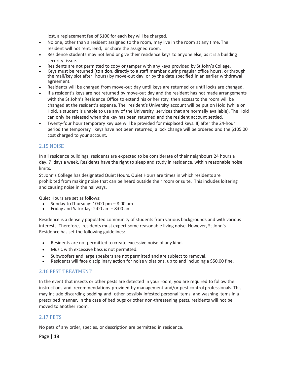lost, a replacement fee of \$100 for each key will be charged.

- No one, other than a resident assigned to the room, may live in the room at any time. The resident will not rent, lend, or share the assigned room.
- Residence students may not lend or give their residence keys to anyone else, as it is a building security issue.
- Residents are not permitted to copy or tamper with any keys provided by St John's College.
- Keys must be returned (to a don, directly to a staff member during regular office hours, or through the mail/key slot after hours) by move-out day, or by the date specified in an earlier withdrawal agreement.
- Residents will be charged from move-out day until keys are returned or until locks are changed.
- If a resident's keys are not returned by move-out day and the resident has not made arrangements with the St John's Residence Office to extend his or her stay, then access to the room will be changed at the resident's expense. The resident's University account will be put on Hold (while on Hold, a student is unable to use any of the University services that are normally available). The Hold can only be released when the key has been returned and the resident account settled.
- Twenty‐four hour temporary key use will be provided for misplaced keys. If, after the 24‐hour period the temporary keys have not been returned, a lock change will be ordered and the \$105.00 cost charged to your account.

#### <span id="page-18-0"></span>2.15 NOISE

In all residence buildings, residents are expected to be considerate of their neighbours 24 hours a day, 7 days a week. Residents have the right to sleep and study in residence, within reasonable noise limits.

St John's College has designated Quiet Hours. Quiet Hours are times in which residents are prohibited from making noise that can be heard outside their room or suite. This includes loitering and causing noise in the hallways.

Quiet Hours are set as follows:

- Sunday to Thursday: 10:00 pm 8:00 am
- Friday and Saturday: 2:00 am 8:00 am

Residence is a densely populated community of students from various backgrounds and with various interests. Therefore, residents must expect some reasonable living noise. However, St John's Residence has set the following guidelines:

- Residents are not permitted to create excessive noise of any kind.
- Music with excessive bass is not permitted.
- Subwoofers and large speakers are not permitted and are subject to removal.
- Residents will face disciplinary action for noise violations, up to and including a \$50.00 fine.

#### <span id="page-18-1"></span>2.16 PEST TREATMENT

In the event that insects or other pests are detected in your room, you are required to follow the instructions and recommendations provided by management and/or pest control professionals. This may include discarding bedding and other possibly infested personal items, and washing items in a prescribed manner. In the case of bed bugs or other non-threatening pests, residents will not be moved to another room.

#### <span id="page-18-2"></span>2.17 PETS

No pets of any order, species, or description are permitted in residence.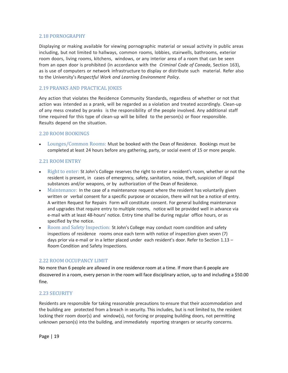## <span id="page-19-0"></span>2.18 PORNOGRAPHY

Displaying or making available for viewing pornographic material or sexual activity in public areas including, but not limited to hallways, common rooms, lobbies, stairwells, bathrooms, exterior room doors, living rooms, kitchens, windows, or any interior area of a room that can be seen from an open door is prohibited (in accordance with the *Criminal Code of Canada*, Section 163), as is use of computers or network infrastructure to display or distribute such material. Refer also to the University's *Respectful Work and Learning Environment Policy.*

#### <span id="page-19-1"></span>2.19 PRANKS AND PRACTICAL JOKES

Any action that violates the Residence Community Standards, regardless of whether or not that action was intended as a prank, will be regarded as a violation and treated accordingly. Clean‐up of any mess created by pranks is the responsibility of the people involved. Any additional staff time required for this type of clean-up will be billed to the person(s) or floor responsible. Results depend on the situation.

#### <span id="page-19-2"></span>2.20 ROOM BOOKINGS

• Lounges/Common Rooms: Must be booked with the Dean of Residence. Bookings must be completed at least 24 hours before any gathering, party, or social event of 15 or more people.

#### <span id="page-19-3"></span>2.21 ROOM ENTRY

- Right to enter: St John's College reserves the right to enter a resident's room, whether or not the resident is present, in cases of emergency, safety, sanitation, noise, theft, suspicion of illegal substances and/or weapons, or by authorization of the Dean of Residence.
- Maintenance: In the case of a maintenance request where the resident has voluntarily given written or verbal consent for a specific purpose or occasion, there will not be a notice of entry. A written Request for Repairs Form will constitute consent. For general building maintenance and upgrades that require entry to multiple rooms, notice will be provided well in advance via e-mail with at least 48-hours' notice. Entry time shall be during regular office hours, or as specified by the notice.
- Room and Safety Inspection: St John's College may conduct room condition and safety inspections of residence rooms once each term with notice of inspection given seven (7) days prior via e-mail or in a letter placed under each resident's door. Refer to Section 1.13 -Room Condition and Safety Inspections.

#### <span id="page-19-4"></span>2.22 ROOM OCCUPANCY LIMIT

No more than 6 people are allowed in one residence room at a time. If more than 6 people are discovered in a room, every person in the room will face disciplinary action, up to and including a \$50.00 fine.

#### <span id="page-19-5"></span>2.23 SECURITY

Residents are responsible for taking reasonable precautions to ensure that their accommodation and the building are protected from a breach in security. This includes, but is not limited to, the resident locking their room door(s) and window(s), not forcing or propping building doors, not permitting unknown person(s) into the building, and immediately reporting strangers or security concerns.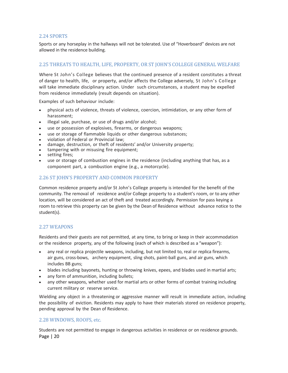## <span id="page-20-0"></span>2.24 SPORTS

Sports or any horseplay in the hallways will not be tolerated. Use of "Hoverboard" devices are not allowed in the residence building.

## <span id="page-20-1"></span>2.25 THREATS TO HEALTH, LIFE, PROPERTY, OR ST JOHN'S COLLEGE GENERAL WELFARE

Where St John's College believes that the continued presence of a resident constitutes a threat of danger to health, life, or property, and/or affects the College adversely, St John's College will take immediate disciplinary action. Under such circumstances, a student may be expelled from residence immediately (result depends on situation).

Examples of such behaviour include:

- physical acts of violence, threats of violence, coercion, intimidation, or any other form of harassment;
- illegal sale, purchase, or use of drugs and/or alcohol;
- use or possession of explosives, firearms, or dangerous weapons;
- use or storage of flammable liquids or other dangerous substances;
- violation of Federal or Provincial law;
- damage, destruction, or theft of residents' and/or University property;
- tampering with or misusing fire equipment;
- setting fires;
- use or storage of combustion engines in the residence (including anything that has, as a component part, a combustion engine (e.g., a motorcycle).

#### <span id="page-20-2"></span>2.26 ST JOHN'S PROPERTY AND COMMON PROPERTY

Common residence property and/or St John's College property is intended for the benefit of the community. The removal of residence and/or College property to a student's room, or to any other location, will be considered an act of theft and treated accordingly. Permission for pass keying a room to retrieve this property can be given by the Dean of Residence without advance notice to the student(s).

#### <span id="page-20-3"></span>2.27 WEAPONS

Residents and their guests are not permitted, at any time, to bring or keep in their accommodation or the residence property, any of the following (each of which is described as a "weapon"):

- any real or replica projectile weapons, including, but not limited to, real or replica firearms, air guns, cross-bows, archery equipment, sling shots, paint-ball guns, and air guns, which includes BB guns;
- blades including bayonets, hunting or throwing knives, epees, and blades used in martial arts;
- any form of ammunition, including bullets;
- any other weapons, whether used for martial arts or other forms of combat training including current military or reserve service.

Wielding any object in a threatening or aggressive manner will result in immediate action, including the possibility of eviction. Residents may apply to have their materials stored on residence property, pending approval by the Dean of Residence.

#### <span id="page-20-4"></span>2.28 WINDOWS, ROOFS, etc.

Page | 20 Students are not permitted to engage in dangerous activities in residence or on residence grounds.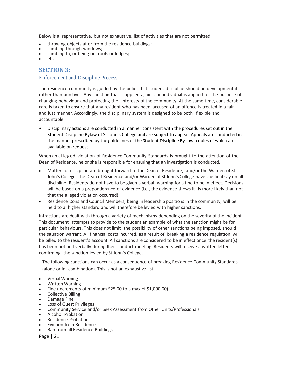Below is a representative, but not exhaustive, list of activities that are not permitted:

- throwing objects at or from the residence buildings;
- climbing through windows;
- climbing to, or being on, roofs or ledges;
- <span id="page-21-0"></span>• etc.

## **SECTION 3:**

#### Enforcement and Discipline Process

The residence community is guided by the belief that student discipline should be developmental rather than punitive. Any sanction that is applied against an individual is applied for the purpose of changing behaviour and protecting the interests of the community. At the same time, considerable care is taken to ensure that any resident who has been accused of an offence is treated in a fair and just manner. Accordingly, the disciplinary system is designed to be both flexible and accountable.

• Disciplinary actions are conducted in a manner consistent with the procedures set out in the Student Discipline Bylaw of St John's College and are subject to appeal. Appeals are conducted in the manner prescribed by the guidelines of the Student Discipline By‐law, copies of which are available on request.

When an alleged violation of Residence Community Standards is brought to the attention of the Dean of Residence, he or she is responsible for ensuring that an investigation is conducted.

- Matters of discipline are brought forward to the Dean of Residence, and/or the Warden of St John's College. The Dean of Residence and/or Warden of St John's College have the final say on all discipline. Residents do not have to be given a verbal warning for a fine to be in effect. Decisions will be based on a preponderance of evidence (i.e., the evidence shows it is more likely than not that the alleged violation occurred).
- Residence Dons and Council Members, being in leadership positions in the community, will be held to a higher standard and will therefore be levied with higher sanctions.

Infractions are dealt with through a variety of mechanisms depending on the severity of the incident. This document attempts to provide to the student an example of what the sanction might be for particular behaviours. This does not limit the possibility of other sanctions being imposed, should the situation warrant. All financial costs incurred, as a result of breaking a residence regulation, will be billed to the resident's account. All sanctions are considered to be in effect once the resident(s) has been notified verbally during their conduct meeting. Residents will receive a written letter confirming the sanction levied by St John's College.

The following sanctions can occur as a consequence of breaking Residence Community Standards (alone or in combination). This is not an exhaustive list:

- Verbal Warning
- Written Warning
- Fine (increments of minimum \$25.00 to a max of \$1,000.00)
- Collective Billing
- Damage Fine
- Loss of Guest Privileges
- Community Service and/or Seek Assessment from Other Units/Professionals
- Alcohol Probation
- Residence Probation
- Eviction from Residence
- Ban from all Residence Buildings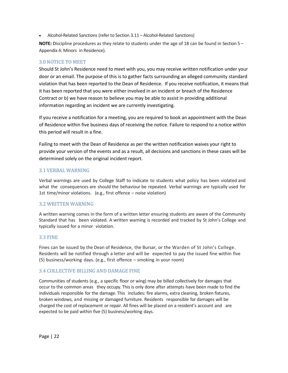• Alcohol-Related Sanctions (refer to Section 3.11 – Alcohol-Related Sanctions)

**NOTE:** Discipline procedures as they relate to students under the age of 18 can be found in Section 5 – Appendix 4: Minors in Residence).

## <span id="page-22-0"></span>3.0 NOTICE TO MEET

Should St John's Residence need to meet with you, you may receive written notification under your door or an email. The purpose of this is to gather facts surrounding an alleged community standard violation that has been reported to the Dean of Residence. If you receive notification, it means that it has been reported that you were either involved in an incident or breach of the Residence Contract or b) we have reason to believe you may be able to assist in providing additional information regarding an incident we are currently investigating.

If you receive a notification for a meeting, you are required to book an appointment with the Dean of Residence within five business days of receiving the notice. Failure to respond to a notice within this period will result in a fine.

Failing to meet with the Dean of Residence as per the written notification waives your right to provide your version of the events and as a result, all decisions and sanctions in these cases will be determined solely on the original incident report.

## <span id="page-22-1"></span>3.1 VERBAL WARNING

Verbal warnings are used by College Staff to indicate to students what policy has been violated and what the consequences are should the behaviour be repeated. Verbal warnings are typically used for 1st time/minor violations. (e.g., first offence – noise violation)

#### <span id="page-22-2"></span>3.2 WRITTEN WARNING

A written warning comes in the form of a written letter ensuring students are aware of the Community Standard that has been violated. A written warning is recorded and tracked by St John's College and typically issued for a minor violation.

## <span id="page-22-3"></span>3.3 FINE

Fines can be issued by the Dean of Residence, the Bursar, or the Warden of St John's College. Residents will be notified through a letter and will be expected to pay the issued fine within five (5) business/working days. (e.g., first offence – smoking in your room)

## <span id="page-22-4"></span>3.4 COLLECTIVE BILLING AND DAMAGE FINE

Communities of students (e.g., a specific floor or wing) may be billed collectively for damages that occur to the common areas they occupy. This is only done after attempts have been made to find the individuals responsible for the damage. This includes: fire alarms, extra cleaning, broken fixtures, broken windows, and missing or damaged furniture. Residents responsible for damages will be charged the cost of replacement or repair. All fines will be placed on a resident's account and are expected to be paid within five (5) business/working days.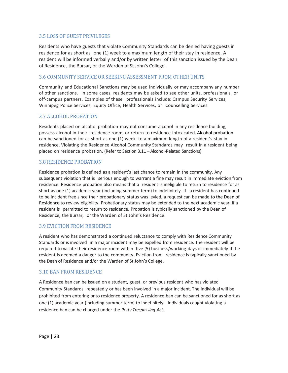#### <span id="page-23-0"></span>3.5 LOSS OF GUEST PRIVILEGES

Residents who have guests that violate Community Standards can be denied having guests in residence for as short as one (1) week to a maximum length of their stay in residence. A resident will be informed verbally and/or by written letter of this sanction issued by the Dean of Residence, the Bursar, or the Warden of St John's College.

#### <span id="page-23-1"></span>3.6 COMMUNITY SERVICE OR SEEKING ASSESSMENT FROM OTHER UNITS

Community and Educational Sanctions may be used individually or may accompany any number of other sanctions. In some cases, residents may be asked to see other units, professionals, or off-campus partners. Examples of these professionals include: Campus Security Services, Winnipeg Police Services, Equity Office, Health Services, or Counselling Services.

#### <span id="page-23-2"></span>3.7 ALCOHOL PROBATION

Residents placed on alcohol probation may not consume alcohol in any residence building, possess alcohol in their residence room, or return to residence intoxicated. Alcohol probation can be sanctioned for as short as one (1) week to a maximum length of a resident's stay in residence. Violating the Residence Alcohol Community Standards may result in a resident being placed on residence probation. (Refer to Section 3.11 – Alcohol‐Related Sanctions)

#### <span id="page-23-3"></span>3.8 RESIDENCE PROBATION

Residence probation is defined as a resident's last chance to remain in the community. Any subsequent violation that is serious enough to warrant a fine may result in immediate eviction from residence. Residence probation also means that a resident is ineligible to return to residence for as short as one (1) academic year (including summer term) to indefinitely. If a resident has continued to be incident free since their probationary status was levied, a request can be made to the Dean of Residence to review eligibility. Probationary status may be extended to the next academic year, if a resident is permitted to return to residence. Probation is typically sanctioned by the Dean of Residence, the Bursar, or the Warden of St John's Residence.

#### <span id="page-23-4"></span>3.9 EVICTION FROM RESIDENCE

A resident who has demonstrated a continued reluctance to comply with Residence Community Standards or is involved in a major incident may be expelled from residence. The resident will be required to vacate their residence room within five (5) business/working days or immediately if the resident is deemed a danger to the community. Eviction from residence is typically sanctioned by the Dean of Residence and/or the Warden of St John's College.

#### <span id="page-23-5"></span>3.10 BAN FROM RESIDENCE

A Residence ban can be issued on a student, guest, or previous resident who has violated Community Standards repeatedly or has been involved in a major incident. The individual will be prohibited from entering onto residence property. A residence ban can be sanctioned for as short as one (1) academic year (including summer term) to indefinitely. Individuals caught violating a residence ban can be charged under the *Petty Trespassing Act*.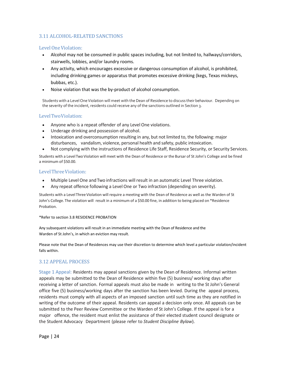## <span id="page-24-0"></span>3.11 ALCOHOL-RELATED SANCTIONS

## Level One Violation:

- Alcohol may not be consumed in public spaces including, but not limited to, hallways/corridors, stairwells, lobbies, and/or laundry rooms.
- Any activity, which encourages excessive or dangerous consumption of alcohol, is prohibited, including drinking games or apparatus that promotes excessive drinking (kegs, Texas mickeys, bubbas, etc.).
- Noise violation that was the by-product of alcohol consumption.

Students with a Level One Violation will meet with the Dean of Residence to discuss their behaviour. Depending on the severity of the incident, residents could receive any of the sanctions outlined in Section 3.

#### LevelTwoViolation:

- Anyone who is a repeat offender of any Level One violations.
- Underage drinking and possession of alcohol.
- Intoxication and overconsumption resulting in any, but not limited to, the following: major disturbances, vandalism, violence, personal health and safety, public intoxication.
- Not complying with the instructions of Residence Life Staff, Residence Security, or Security Services.

Students with a Level Two Violation will meet with the Dean of Residence or the Bursar of St John's College and be fined a minimum of \$50.00.

#### LevelThreeViolation:

- Multiple Level One andTwo infractions will result in an automatic Level Three violation.
- Any repeat offence following a Level One or Two infraction (depending on severity).

Students with a Level Three Violation will require a meeting with the Dean of Residence as well as the Warden of St John's College. The violation will result in a minimum of a \$50.00 fine, in addition to being placed on \*Residence Probation.

#### \*Refer to section 3.8 RESIDENCE PROBATION

Any subsequent violations will result in an immediate meeting with the Dean of Residence and the Warden of St John's, in which an eviction may result.

Please note that the Dean of Residences may use their discretion to determine which level a particular violation/incident falls within.

## <span id="page-24-1"></span>3.12 APPEAL PROCESS

Stage 1 Appeal: Residents may appeal sanctions given by the Dean of Residence. Informal written appeals may be submitted to the Dean of Residence within five (5) business/ working days after receiving a letter of sanction. Formal appeals must also be made in writing to the St John's General office five (5) business/working days after the sanction has been levied. During the appeal process, residents must comply with all aspects of an imposed sanction until such time as they are notified in writing of the outcome of their appeal. Residents can appeal a decision only once. All appeals can be submitted to the Peer Review Committee or the Warden of St John's College. If the appeal is for a major offence, the resident must enlist the assistance of their elected student council designate or the Student Advocacy Department (please refer to *Student Discipline Bylaw*).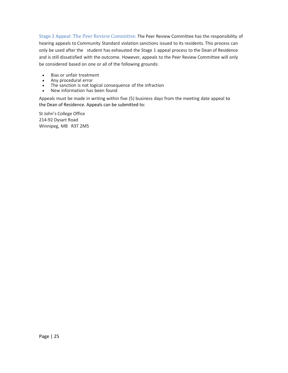Stage 2 Appeal: The Peer Review Committee. The Peer Review Committee has the responsibility of hearing appeals to Community Standard violation sanctions issued to its residents. This process can only be used after the student has exhausted the Stage 1 appeal process to the Dean of Residence and is still dissatisfied with the outcome. However, appeals to the Peer Review Committee will only be considered based on one or all of the following grounds:

- Bias or unfair treatment
- Any procedural error
- The sanction is not logical consequence of the infraction
- New information has been found

Appeals must be made in writing within five (5) business days from the meeting date appeal to the Dean of Residence. Appeals can be submitted to:

St John's College Office 214‐92 Dysart Road Winnipeg, MB R3T 2M5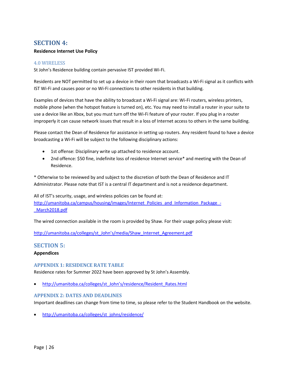## <span id="page-26-0"></span>**SECTION 4:**

#### **Residence Internet Use Policy**

#### <span id="page-26-1"></span>4.0 WIRELESS

St John's Residence building contain pervasive IST provided Wi‐Fi.

Residents are NOT permitted to set up a device in their room that broadcasts a Wi‐Fi signal as it conflicts with IST Wi‐Fi and causes poor or no Wi‐Fi connections to other residents in that building.

Examples of devices that have the ability to broadcast a Wi‐Fi signal are: Wi‐Fi routers, wireless printers, mobile phone (when the hotspot feature is turned on), etc. You may need to install a router in your suite to use a device like an Xbox, but you must turn off the Wi-Fi feature of your router. If you plug in a router improperly it can cause network issues that result in a loss of Internet access to others in the same building.

Please contact the Dean of Residence for assistance in setting up routers. Any resident found to have a device broadcasting a Wi‐Fi will be subject to the following disciplinary actions:

- 1st offense: Disciplinary write up attached to residence account.
- 2nd offence: \$50 fine, indefinite loss of residence Internet service\* and meeting with the Dean of Residence.

\* Otherwise to be reviewed by and subject to the discretion of both the Dean of Residence and IT Administrator. Please note that IST is a central IT department and is not a residence department.

All of IST's security, usage, and wireless policies can be found at: [http://umanitoba.ca/campus/housing/images/Internet\\_Policies\\_and\\_Information\\_Package\\_-](http://umanitoba.ca/campus/housing/images/Internet_Policies_and_Information_Package_-_March2018.pdf) [\\_March2018.pdf](http://umanitoba.ca/campus/housing/images/Internet_Policies_and_Information_Package_-_March2018.pdf)

The wired connection available in the room is provided by Shaw. For their usage policy please visit:

http://umanitoba.ca/colleges/st\_John's[/media/Shaw\\_Internet\\_Agreement.pdf](http://umanitoba.ca/colleges/st_johns/media/Shaw_Internet_Agreement.pdf)

## <span id="page-26-2"></span>**SECTION 5: Appendices**

#### <span id="page-26-3"></span>**APPENDIX 1: RESIDENCE RATE TABLE**

Residence rates for Summer 2022 have been approved by St John's Assembly.

• [http://umanitoba.ca/colleges/st\\_](http://umanitoba.ca/colleges/st_johns/residence/Resident_Rates.html)John's/residence/Resident\_Rates.html

#### <span id="page-26-4"></span>**APPENDIX 2: DATES AND DEADLINES**

Important deadlines can change from time to time, so please refer to the Student Handbook on the website.

• [http://umanitoba.ca/colleges/st\\_johns/residence/](http://umanitoba.ca/colleges/st_johns/residence/)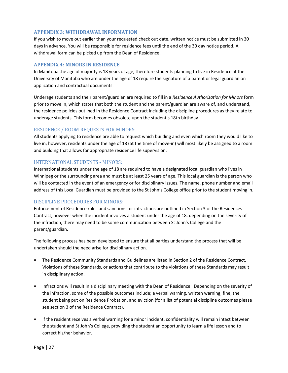#### <span id="page-27-0"></span>**APPENDIX 3: WITHDRAWAL INFORMATION**

If you wish to move out earlier than your requested check out date, written notice must be submitted in 30 days in advance. You will be responsible for residence fees until the end of the 30 day notice period. A withdrawal form can be picked up from the Dean of Residence.

#### <span id="page-27-1"></span>**APPENDIX 4: MINORS IN RESIDENCE**

In Manitoba the age of majority is 18 years of age, therefore students planning to live in Residence at the University of Manitoba who are under the age of 18 require the signature of a parent or legal guardian on application and contractual documents.

Underage students and their parent/guardian are required to fill in a *Residence Authorization for Minors* form prior to move in, which states that both the student and the parent/guardian are aware of, and understand, the residence policies outlined in the Residence Contract including the discipline procedures as they relate to underage students. This form becomes obsolete upon the student's 18th birthday.

#### RESIDENCE / ROOM REQUESTS FOR MINORS:

All students applying to residence are able to request which building and even which room they would like to live in; however, residents under the age of 18 (at the time of move‐in) will most likely be assigned to a room and building that allows for appropriate residence life supervision.

#### INTERNATIONAL STUDENTS ‐ MINORS:

International students under the age of 18 are required to have a designated local guardian who lives in Winnipeg or the surrounding area and must be at least 25 years of age. This local guardian is the person who will be contacted in the event of an emergency or for disciplinary issues. The name, phone number and email address of this Local Guardian must be provided to the St John's College office prior to the student moving in.

#### DISCIPLINE PROCEDURES FOR MINORS:

Enforcement of Residence rules and sanctions for infractions are outlined in Section 3 of the Residences Contract, however when the incident involves a student under the age of 18, depending on the severity of the infraction, there may need to be some communication between St John's College and the parent/guardian.

The following process has been developed to ensure that all parties understand the process that will be undertaken should the need arise for disciplinary action.

- The Residence Community Standards and Guidelines are listed in Section 2 of the Residence Contract. Violations of these Standards, or actions that contribute to the violations of these Standards may result in disciplinary action.
- Infractions will result in a disciplinary meeting with the Dean of Residence. Depending on the severity of the infraction, some of the possible outcomes include; a verbal warning, written warning, fine, the student being put on Residence Probation, and eviction (for a list of potential discipline outcomes please see section 3 of the Residence Contract).
- If the resident receives a verbal warning for a minor incident, confidentiality will remain intact between the student and St John's College, providing the student an opportunity to learn a life lesson and to correct his/her behavior.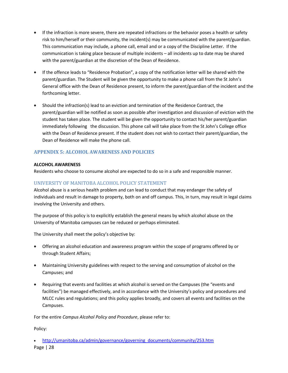- If the infraction is more severe, there are repeated infractions or the behavior poses a health or safety risk to him/herself or their community, the incident(s) may be communicated with the parent/guardian. This communication may include, a phone call, email and or a copy of the Discipline Letter. If the communication is taking place because of multiple incidents – all incidents up to date may be shared with the parent/guardian at the discretion of the Dean of Residence.
- If the offence leads to "Residence Probation", a copy of the notification letter will be shared with the parent/guardian. The Student will be given the opportunity to make a phone call from the St John's General office with the Dean of Residence present, to inform the parent/guardian of the incident and the forthcoming letter.
- Should the infraction(s) lead to an eviction and termination of the Residence Contract, the parent/guardian will be notified as soon as possible after investigation and discussion of eviction with the student has taken place. The student will be given the opportunity to contact his/her parent/guardian immediately following the discussion. This phone call will take place from the St John's College office with the Dean of Residence present. If the student does not wish to contact their parent/guardian, the Dean of Residence will make the phone call.

## <span id="page-28-0"></span>**APPENDIX 5: ALCOHOL AWARENESS AND POLICIES**

#### **ALCOHOL AWARENESS**

Residents who choose to consume alcohol are expected to do so in a safe and responsible manner.

## UNIVERSITY OF MANITOBA ALCOHOL POLICY STATEMENT

Alcohol abuse is a serious health problem and can lead to conduct that may endanger the safety of individuals and result in damage to property, both on and off campus. This, in turn, may result in legal claims involving the University and others.

The purpose of this policy is to explicitly establish the general means by which alcohol abuse on the University of Manitoba campuses can be reduced or perhaps eliminated.

The University shall meet the policy's objective by:

- Offering an alcohol education and awareness program within the scope of programs offered by or through Student Affairs;
- Maintaining University guidelines with respect to the serving and consumption of alcohol on the Campuses; and
- Requiring that events and facilities at which alcohol is served on the Campuses (the "events and facilities") be managed effectively, and in accordance with the University's policy and procedures and MLCC rules and regulations; and this policy applies broadly, and covers all events and facilities on the Campuses.

For the entire *Campus Alcohol Policy and Procedure*, please refer to:

Policy:

Page | 28 • [http://umanitoba.ca/admin/governance/governing\\_documents/community/253.htm](http://umanitoba.ca/admin/governance/governing_documents/community/253.htm)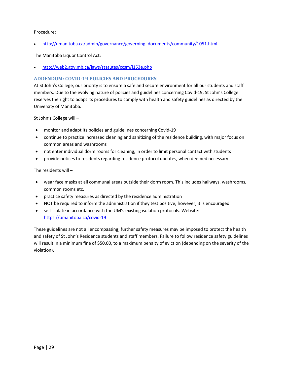#### Procedure:

• [http://umanitoba.ca/admin/governance/governing\\_documents/community/1051.html](http://umanitoba.ca/admin/governance/governing_documents/community/1051.html)

The Manitoba Liquor Control Act:

• <http://web2.gov.mb.ca/laws/statutes/ccsm/l153e.php>

#### <span id="page-29-0"></span>**ADDENDUM: COVID-19 POLICIES AND PROCEDURES**

At St John's College, our priority is to ensure a safe and secure environment for all our students and staff members. Due to the evolving nature of policies and guidelines concerning Covid-19, St John's College reserves the right to adapt its procedures to comply with health and safety guidelines as directed by the University of Manitoba.

St John's College will –

- monitor and adapt its policies and guidelines concerning Covid-19
- continue to practice increased cleaning and sanitizing of the residence building, with major focus on common areas and washrooms
- not enter individual dorm rooms for cleaning, in order to limit personal contact with students
- provide notices to residents regarding residence protocol updates, when deemed necessary

The residents will –

- wear face masks at all communal areas outside their dorm room. This includes hallways, washrooms, common rooms etc.
- practice safety measures as directed by the residence administration
- NOT be required to inform the administration if they test positive; however, it is encouraged
- self-isolate in accordance with the UM's existing isolation protocols. Website: <https://umanitoba.ca/covid-19>

These guidelines are not all encompassing; further safety measures may be imposed to protect the health and safety of St John's Residence students and staff members. Failure to follow residence safety guidelines will result in a minimum fine of \$50.00, to a maximum penalty of eviction (depending on the severity of the violation).